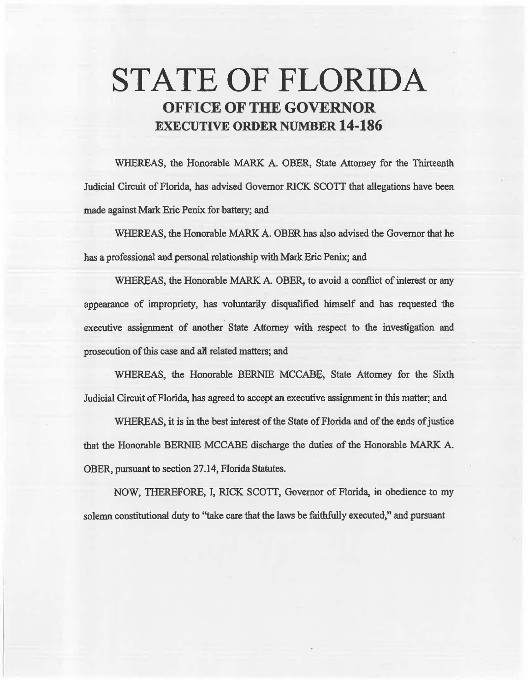# STATE OF FLORIDA OFFICE OF THE GOVERNOR EXECUTIVE ORDER NUMBER 14-186

WHEREAS, the Honorable MARK A. OBER, State Attorney for the Thirteenth Judicial Circuit of Florida, has advised Governor RlCK SCOTT that allegations have been made against Mark Eric Penix for battery; and

WHEREAS, the Honorable MARK A. OBER has also advised the Governor that he bas a professional and personal relationship with Mark Eric Penix; and

WHEREAS, the Honorable MARK A. OBER, to avoid a conflict of interest or any appearance of impropriety, has voluntarily disqualified himself and has requested the executive assignment of another State Attorney with respect to the investigation and prosecution of this case and all related matters; and

WHEREAS, the Honorable BERNIE MCCABE, State Attorney for the Sixth Judicial Circuit of Florida, has agreed to accept an. executive assignment in this matter; and

WHEREAS, it is in the best interest of the State of Florida and of the ends of justice that the Honordble BERNIE MCCABE discharge the duties of the Honorable MARK A. OBER, pursuant to section 27.14, Florida Statutes.

NOW, THEREFORE, I, RICK SCOTT, Governor of Florida, in obedience to my solemn constitutional duty to ''take care that the laws be faithfully executed," and pursuant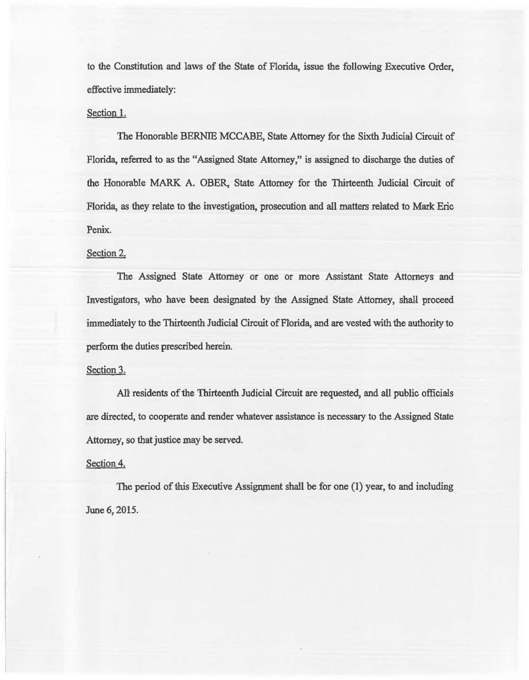to the Constitution and laws of the State of Florida, issue the following Executive Order, effective immediately:

### Section 1.

The Honorable BERNIE MCCABE, State Attorney for the Sixth Judicial Circuit of Florida, referred to as the "Assigned State Attorney," is assigned to discharge the duties of the Honorable MARK A. OBER, State Attorney for the Thirteenth Judicial Circuit of Florida, as they relate to the investigation, prosecution and all matters related to Mark Eric Penix.

### Section 2.

The Assigned State Attorney or one or more Assistant State Attorneys and Investigators, who have been designated by the Assigned State Attorney, shall proceed immediately to the Thirteenth Judicial Circuit of Florida, and are vested with the authority to perform the duties prescribed herein.

## Section 3.

AU residents of the Thirteenth Judicial Circuit are requested, and all public officials are directed, to cooperate and render whatever assistance is necessary to the Assigned State Attorney, so that justice may be served.

#### Section 4.

The period of this Executive Assignment shall be for one (1) year, to and including June 6, 2015.